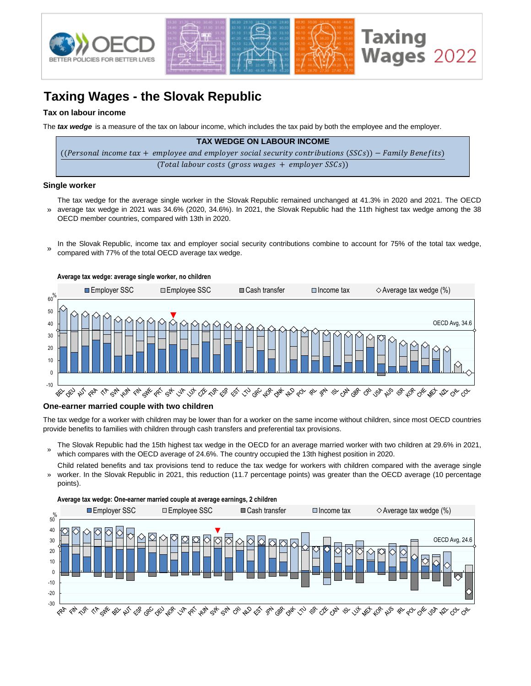

## **Taxing Wages - the Slovak Republic**

#### **Tax on labour income**

The *tax wedge* is a measure of the tax on labour income, which includes the tax paid by both the employee and the employer.

| <b>TAX WEDGE ON LABOUR INCOME</b>                                                                      |
|--------------------------------------------------------------------------------------------------------|
| ((Personal income tax + employee and employer social security contributions (SSCs)) – Family Benefits) |
| $(Total$ labour costs (gross wages $+$ employer SSCs))                                                 |

#### **Single worker**

» The tax wedge for the average single worker in the Slovak Republic remained unchanged at 41.3% in 2020 and 2021. The OECD average tax wedge in 2021 was 34.6% (2020, 34.6%). In 2021, the Slovak Republic had the 11th highest tax wedge among the 38 OECD member countries, compared with 13th in 2020.

In the Slovak Republic, income tax and employer social security contributions combine to account for 75% of the total tax wedge, compared with 77% of the total OECD average tax wedge. »



#### **One-earner married couple with two children**

The tax wedge for a worker with children may be lower than for a worker on the same income without children, since most OECD countries provide benefits to families with children through cash transfers and preferential tax provisions.

- » The Slovak Republic had the 15th highest tax wedge in the OECD for an average married worker with two children at 29.6% in 2021, which compares with the OECD average of 24.6%. The country occupied the 13th highest position in 2020.
- Child related benefits and tax provisions tend to reduce the tax wedge for workers with children compared with the average single worker. In the Slovak Republic in 2021, this reduction (11.7 percentage points) was greater than the OECD average (10 percentage » points).